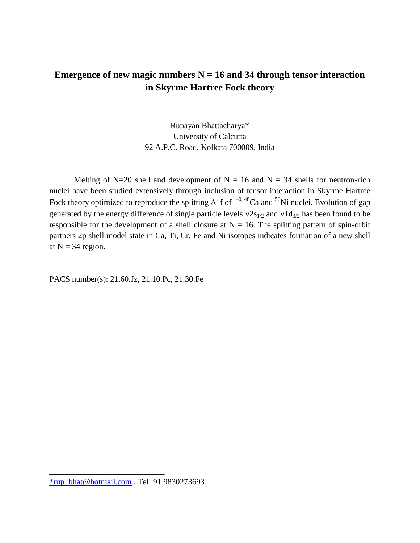# **Emergence of new magic numbers**  $N = 16$  **and 34 through tensor interaction in Skyrme Hartree Fock theory**

Rupayan Bhattacharya\* University of Calcutta 92 A.P.C. Road, Kolkata 700009, India

Melting of N=20 shell and development of N = 16 and N = 34 shells for neutron-rich nuclei have been studied extensively through inclusion of tensor interaction in Skyrme Hartree Fock theory optimized to reproduce the splitting  $\Delta 1f$  of  $40, 48$ Ca and  $56$ Ni nuclei. Evolution of gap generated by the energy difference of single particle levels  $v2s_{1/2}$  and  $v1d_{3/2}$  has been found to be responsible for the development of a shell closure at  $N = 16$ . The splitting pattern of spin-orbit partners 2p shell model state in Ca, Ti, Cr, Fe and Ni isotopes indicates formation of a new shell at  $N = 34$  region.

PACS number(s): 21.60.Jz, 21.10.Pc, 21.30.Fe

\_\_\_\_\_\_\_\_\_\_\_\_\_\_\_\_\_\_\_\_\_\_\_\_\_\_\_\_

[<sup>\\*</sup>rup\\_bhat@hotmail.com,](mailto:*rup_bhat@hotmail.com), Tel: 91 9830273693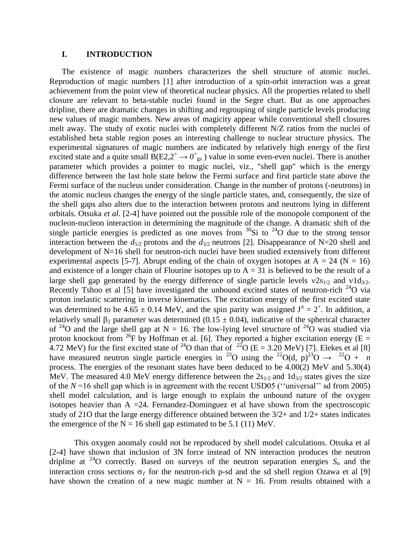#### **I. INTRODUCTION**

The existence of magic numbers characterizes the shell structure of atomic nuclei. Reproduction of magic numbers [1] after introduction of a spin-orbit interaction was a great achievement from the point view of theoretical nuclear physics. All the properties related to shell closure are relevant to beta-stable nuclei found in the Segre chart. But as one approaches dripline, there are dramatic changes in shifting and regrouping of single particle levels producing new values of magic numbers. New areas of magicity appear while conventional shell closures melt away. The study of exotic nuclei with completely different N/Z ratios from the nuclei of established beta stable region poses an interesting challenge to nuclear structure physics. The experimental signatures of magic numbers are indicated by relatively high energy of the first excited state and a quite small  $\overline{B(E2,2^+ \rightarrow 0^+_{gs})}$  value in some even-even nuclei. There is another parameter which provides a pointer to magic nuclei, viz., "shell gap" which is the energy difference between the last hole state below the Fermi surface and first particle state above the Fermi surface of the nucleus under consideration. Change in the number of protons (-neutrons) in the atomic nucleus changes the energy of the single particle states, and, consequently, the size of the shell gaps also alters due to the interaction between protons and neutrons lying in different orbitals. Otsuka *et al.* [2-4] have pointed out the possible role of the monopole component of the nucleon-nucleon interaction in determining the magnitude of the change. A dramatic shift of the single particle energies is predicted as one moves from  ${}^{30}Si$  to  ${}^{24}O$  due to the strong tensor interaction between the  $d_{5/2}$  protons and the  $d_{3/2}$  neutrons [2]. Disappearance of N=20 shell and development of N=16 shell for neutron-rich nuclei have been studied extensively from different experimental aspects [5-7]. Abrupt ending of the chain of oxygen isotopes at  $A = 24$  (N = 16) and existence of a longer chain of Flourine isotopes up to  $A = 31$  is believed to be the result of a large shell gap generated by the energy difference of single particle levels  $v2s_{1/2}$  and  $v1d_{3/2}$ . Recently Tshoo et al [5] have investigated the unbound excited states of neutron-rich  $^{24}O$  via proton inelastic scattering in inverse kinematics. The excitation energy of the first excited state was determined to be 4.65  $\pm$  0.14 MeV, and the spin parity was assigned  $J^{\pi} = 2^{+}$ . In addition, a relatively small  $\beta_2$  parameter was determined (0.15  $\pm$  0.04), indicative of the spherical character of <sup>24</sup>O and the large shell gap at N = 16. The low-lying level structure of <sup>24</sup>O was studied via proton knockout from <sup>26</sup>F by Hoffman et al. [6]. They reported a higher excitation energy (E = 4.72 MeV) for the first excited state of <sup>24</sup>O than that of <sup>22</sup>O (E = 3.20 MeV) [7]. Elekes et al [8] have measured neutron single particle energies in <sup>23</sup>O using the <sup>22</sup>O(d, p)<sup>23</sup>O  $\rightarrow$  <sup>22</sup>O + *n* process. The energies of the resonant states have been deduced to be 4.00(2) MeV and 5.30(4) MeV. The measured 4.0 MeV energy difference between the  $2s_{1/2}$  and  $1d_{3/2}$  states gives the size of the  $N = 16$  shell gap which is in agreement with the recent USD05 ("universal" sd from 2005) shell model calculation, and is large enough to explain the unbound nature of the oxygen isotopes heavier than  $A = 24$ . Fernandez-Dominguez et al have shown from the spectroscopic study of 21O that the large energy difference obtained between the 3/2+ and 1/2+ states indicates the emergence of the  $N = 16$  shell gap estimated to be 5.1 (11) MeV.

This oxygen anomaly could not be reproduced by shell model calculations. Otsuka et al [2-4] have shown that inclusion of 3N force instead of NN interaction produces the neutron dripline at <sup>24</sup>O correctly. Based on surveys of the neutron separation energies  $S_n$  and the interaction cross sections  $\sigma_t$  for the neutron-rich p-sd and the sd shell region Ozawa et al [9] have shown the creation of a new magic number at  $N = 16$ . From results obtained with a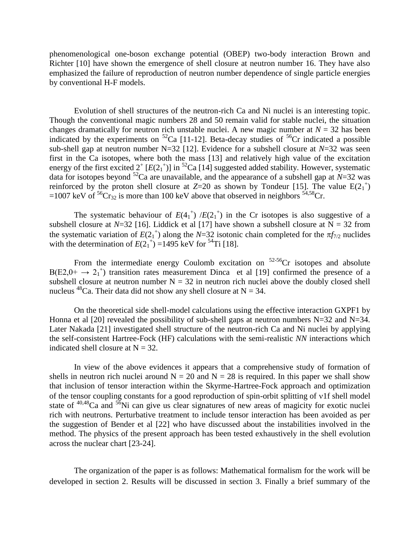phenomenological one-boson exchange potential (OBEP) two-body interaction Brown and Richter [10] have shown the emergence of shell closure at neutron number 16. They have also emphasized the failure of reproduction of neutron number dependence of single particle energies by conventional H-F models.

Evolution of shell structures of the neutron-rich Ca and Ni nuclei is an interesting topic. Though the conventional magic numbers 28 and 50 remain valid for stable nuclei, the situation changes dramatically for neutron rich unstable nuclei. A new magic number at  $N = 32$  has been indicated by the experiments on  ${}^{52}$ Ca [11-12]. Beta-decay studies of  ${}^{56}$ Cr indicated a possible sub-shell gap at neutron number N=32 [12]. Evidence for a subshell closure at  $N=32$  was seen first in the Ca isotopes, where both the mass [13] and relatively high value of the excitation energy of the first excited  $2^{+}$   $[E(2_{1}^{+})]$  in <sup>52</sup>Ca [14] suggested added stability. However, systematic data for isotopes beyond  ${}^{52}$ Ca are unavailable, and the appearance of a subshell gap at *N*=32 was reinforced by the proton shell closure at  $Z=20$  as shown by Tondeur [15]. The value  $E(2_1^+)$ =1007 keV of  ${}^{56}Cr_{32}$  is more than 100 keV above that observed in neighbors  ${}^{54,58}Cr$ .

The systematic behaviour of  $E(4_1^+)$  / $E(2_1^+)$  in the Cr isotopes is also suggestive of a subshell closure at  $N=32$  [16]. Liddick et al [17] have shown a subshell closure at  $N=32$  from the systematic variation of  $E(2_1^+)$  along the *N*=32 isotonic chain completed for the  $\pi f_{7/2}$  nuclides with the determination of  $E(2_1^{\text{+}}) = 1495$  keV for <sup>54</sup>Ti [18].

From the intermediate energy Coulomb excitation on  $52-56$ Cr isotopes and absolute  $B(E2,0^+ \rightarrow 2_1^+)$  transition rates measurement Dinca et al [19] confirmed the presence of a subshell closure at neutron number  $N = 32$  in neutron rich nuclei above the doubly closed shell nucleus <sup>48</sup>Ca. Their data did not show any shell closure at  $N = 34$ .

On the theoretical side shell-model calculations using the effective interaction GXPF1 by Honna et al [20] revealed the possibility of sub-shell gaps at neutron numbers  $N=32$  and  $N=34$ . Later Nakada [21] investigated shell structure of the neutron-rich Ca and Ni nuclei by applying the self-consistent Hartree-Fock (HF) calculations with the semi-realistic *NN* interactions which indicated shell closure at  $N = 32$ .

In view of the above evidences it appears that a comprehensive study of formation of shells in neutron rich nuclei around  $N = 20$  and  $N = 28$  is required. In this paper we shall show that inclusion of tensor interaction within the Skyrme-Hartree-Fock approach and optimization of the tensor coupling constants for a good reproduction of spin-orbit splitting of v1f shell model state of  $40,48$ Ca and  $56$ Ni can give us clear signatures of new areas of magicity for exotic nuclei rich with neutrons. Perturbative treatment to include tensor interaction has been avoided as per the suggestion of Bender et al [22] who have discussed about the instabilities involved in the method. The physics of the present approach has been tested exhaustively in the shell evolution across the nuclear chart [23-24].

The organization of the paper is as follows: Mathematical formalism for the work will be developed in section 2. Results will be discussed in section 3. Finally a brief summary of the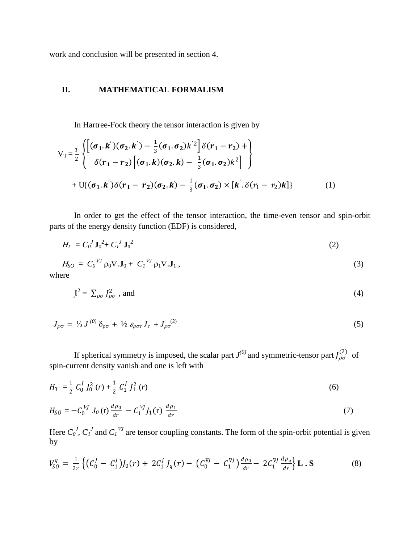work and conclusion will be presented in section 4.

## **II. MATHEMATICAL FORMALISM**

In Hartree-Fock theory the tensor interaction is given by

$$
V_T = \frac{r}{2} \left\{ \begin{bmatrix} (\sigma_1 \cdot k')(\sigma_2 \cdot k') - \frac{1}{3}(\sigma_1 \cdot \sigma_2) k'^2 \\ \delta(r_1 - r_2) \left[ (\sigma_1 \cdot k)(\sigma_2 \cdot k) - \frac{1}{3}(\sigma_1 \cdot \sigma_2) k^2 \right] \end{bmatrix} + U \{ (\sigma_1 \cdot k') \delta(r_1 - r_2) (\sigma_2 \cdot k) - \frac{1}{3}(\sigma_1 \cdot \sigma_2) \times [k' \cdot \delta(r_1 - r_2)k] \} \tag{1}
$$

In order to get the effect of the tensor interaction, the time-even tensor and spin-orbit parts of the energy density function (EDF) is considered,

$$
H_T = C_0^J \mathbf{J}_0^2 + C_1^J \mathbf{J}_1^2 \tag{2}
$$

$$
H_{SO} = C_0^{\ \overline{V} \overline{J}} \rho_0 \nabla \cdot \mathbf{J}_0 + C_I^{\ \overline{V} \overline{J}} \rho_1 \nabla \cdot \mathbf{J}_1 , \qquad (3)
$$

where

$$
J^2 = \sum_{\rho \sigma} J_{\rho \sigma}^2
$$
, and (4)

$$
J_{\rho\sigma} = \frac{1}{3} J^{(0)} \delta_{\rho\sigma} + \frac{1}{2} \varepsilon_{\rho\sigma\tau} J_{\tau} + J_{\rho\sigma}^{(2)} \tag{5}
$$

If spherical symmetry is imposed, the scalar part  $J^{(0)}$  and symmetric-tensor part  $J^{(2)}_{\rho\sigma}$  of spin-current density vanish and one is left with

$$
H_T = \frac{1}{2} C_0^J J_0^2 (r) + \frac{1}{2} C_1^J J_1^2 (r)
$$
 (6)

$$
H_{SO} = -C_0^{\ \nabla J} \ J_0 \ (\mathbf{r}) \ \frac{d\rho_0}{dr} \ - \ C_1^{\ \nabla J} J_1 \ (\mathbf{r}) \ \frac{d\rho_1}{dr} \tag{7}
$$

Here  $C_0^J$ ,  $C_I^J$  and  $C_I^{\nabla J}$  are tensor coupling constants. The form of the spin-orbit potential is given by

$$
V_{SO}^{q} = \frac{1}{2r} \left\{ \left( C_{0}^{J} - C_{1}^{J} \right) J_{0}(r) + 2C_{1}^{J} J_{q}(r) - \left( C_{0}^{\nabla J} - C_{1}^{\nabla J} \right) \frac{d\rho_{0}}{dr} - 2C_{1}^{\nabla J} \frac{d\rho_{q}}{dr} \right\} \mathbf{L} \cdot \mathbf{S}
$$
(8)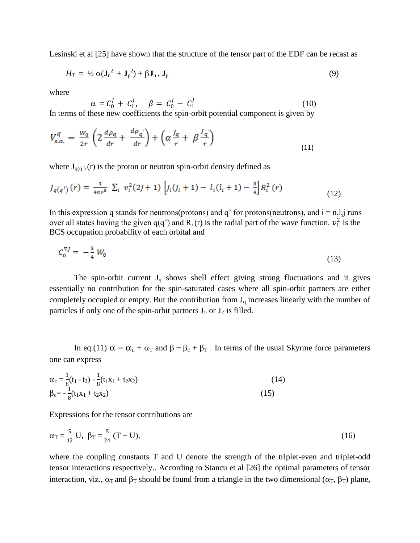Lesinski et al [25] have shown that the structure of the tensor part of the EDF can be recast as

$$
H_T = \frac{1}{2} \alpha (\mathbf{J}_n^2 + \mathbf{J}_p^2) + \beta \mathbf{J}_n \cdot \mathbf{J}_p
$$
\n(9)

where

$$
\alpha = C_0^J + C_1^J, \quad \beta = C_0^J - C_1^J \tag{10}
$$

In terms of these new coefficients the spin-orbit potential component is given by

$$
V_{s.o.}^q = \frac{w_o}{2r} \left( 2 \frac{d\rho_q}{dr} + \frac{d\rho_q}{dr} \right) + \left( \alpha \frac{I_q}{r} + \beta \frac{I_q}{r} \right) \tag{11}
$$

where  $J_{q(q')}(r)$  is the proton or neutron spin-orbit density defined as

$$
J_{q(q')}(r) = \frac{1}{4\pi r^3} \sum_{i} v_i^2 (2j+1) \left[ j_i(j_i+1) - l_i(l_i+1) - \frac{3}{4} \right] R_i^2(r) \tag{12}
$$

In this expression q stands for neutrons(protons) and q' for protons(neutrons), and  $i = n, l, j$  runs over all states having the given  $q(q')$  and  $R_i(r)$  is the radial part of the wave function.  $v_i^2$  is the BCS occupation probability of each orbital and

$$
C_0^{\nabla J} = -\frac{3}{4} W_0 \tag{13}
$$

The spin-orbit current  $J_q$  shows shell effect giving strong fluctuations and it gives essentially no contribution for the spin-saturated cases where all spin-orbit partners are either completely occupied or empty. But the contribution from  $J_q$  increases linearly with the number of particles if only one of the spin-orbit partners  $J_$  or  $J_$  is filled.

In eq.(11)  $\alpha = \alpha_c + \alpha_T$  and  $\beta = \beta_c + \beta_T$ . In terms of the usual Skyrme force parameters one can express

$$
\alpha_{c} = \frac{1}{8}(t_{1} - t_{2}) - \frac{1}{8}(t_{1}x_{1} + t_{2}x_{2})
$$
\n(14)  
\n
$$
\beta_{c} = -\frac{1}{8}(t_{1}x_{1} + t_{2}x_{2})
$$
\n(15)

Expressions for the tensor contributions are

$$
\alpha_{\rm T} = \frac{5}{12} \, \text{U}, \ \beta_{\rm T} = \frac{5}{24} \, (\text{T} + \text{U}), \tag{16}
$$

where the coupling constants T and U denote the strength of the triplet-even and triplet-odd tensor interactions respectively.. According to Stancu et al [26] the optimal parameters of tensor interaction, viz.,  $\alpha_T$  and  $\beta_T$  should be found from a triangle in the two dimensional ( $\alpha_T$ ,  $\beta_T$ ) plane,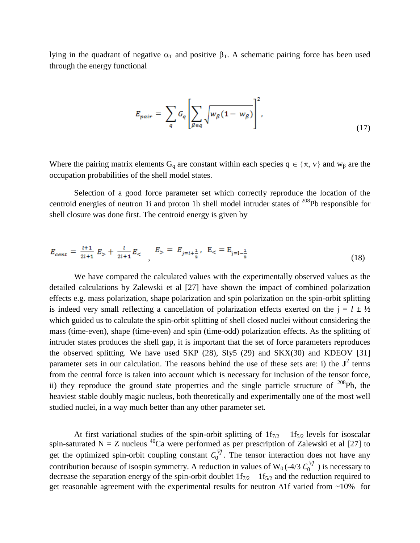lying in the quadrant of negative  $\alpha_T$  and positive  $\beta_T$ . A schematic pairing force has been used through the energy functional

$$
E_{pair} = \sum_{q} G_{q} \left[ \sum_{\beta \in q} \sqrt{w_{\beta} (1 - w_{\beta})} \right]^{2}, \qquad (17)
$$

Where the pairing matrix elements G<sub>q</sub> are constant within each species  $q \in \{\pi, v\}$  and  $w_\beta$  are the occupation probabilities of the shell model states.

Selection of a good force parameter set which correctly reproduce the location of the centroid energies of neutron 1i and proton 1h shell model intruder states of <sup>208</sup>Pb responsible for shell closure was done first. The centroid energy is given by

$$
E_{cent} = \frac{l+1}{2l+1} E_{>} + \frac{l}{2l+1} E_{<} \qquad E_{>} = E_{j=l+\frac{1}{2}}, \quad E_{<} = E_{j=l-\frac{1}{2}} \tag{18}
$$

We have compared the calculated values with the experimentally observed values as the detailed calculations by Zalewski et al [27] have shown the impact of combined polarization effects e.g. mass polarization, shape polarization and spin polarization on the spin-orbit splitting is indeed very small reflecting a cancellation of polarization effects exerted on the  $j = l \pm \frac{1}{2}$ which guided us to calculate the spin-orbit splitting of shell closed nuclei without considering the mass (time-even), shape (time-even) and spin (time-odd) polarization effects. As the splitting of intruder states produces the shell gap, it is important that the set of force parameters reproduces the observed splitting. We have used SKP (28), Sly5 (29) and SKX(30) and KDEOV [31] parameter sets in our calculation. The reasons behind the use of these sets are: i) the  $J^2$  terms from the central force is taken into account which is necessary for inclusion of the tensor force, ii) they reproduce the ground state properties and the single particle structure of  $^{208}Pb$ , the heaviest stable doubly magic nucleus, both theoretically and experimentally one of the most well studied nuclei, in a way much better than any other parameter set.

At first variational studies of the spin-orbit splitting of  $1f_{7/2} - 1f_{5/2}$  levels for isoscalar spin-saturated N = Z nucleus <sup>40</sup>Ca were performed as per prescription of Zalewski et al [27] to get the optimized spin-orbit coupling constant  $C_0^{\nabla}$ . The tensor interaction does not have any contribution because of isospin symmetry. A reduction in values of W<sub>0</sub> (-4/3  $C_0^{\nabla}$ ) is necessary to decrease the separation energy of the spin-orbit doublet  $1f_{7/2} - 1f_{5/2}$  and the reduction required to get reasonable agreement with the experimental results for neutron  $\Delta 1f$  varied from ~10% for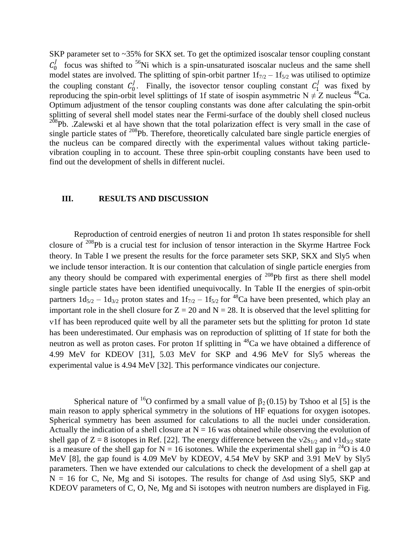SKP parameter set to ~35% for SKX set. To get the optimized isoscalar tensor coupling constant  $C_0^J$  focus was shifted to <sup>56</sup>Ni which is a spin-unsaturated isoscalar nucleus and the same shell model states are involved. The splitting of spin-orbit partner  $1f_{7/2} - 1f_{5/2}$  was utilised to optimize the coupling constant  $C_0^j$ . Finally, the isovector tensor coupling constant  $C_1^j$  was fixed by reproducing the spin-orbit level splittings of 1f state of isospin asymmetric  $N \neq Z$  nucleus <sup>48</sup>Ca. Optimum adjustment of the tensor coupling constants was done after calculating the spin-orbit splitting of several shell model states near the Fermi-surface of the doubly shell closed nucleus <sup>208</sup>Pb. .Zalewski et al have shown that the total polarization effect is very small in the case of single particle states of  $^{208}$ Pb. Therefore, theoretically calculated bare single particle energies of the nucleus can be compared directly with the experimental values without taking particlevibration coupling in to account. These three spin-orbit coupling constants have been used to find out the development of shells in different nuclei.

## **III. RESULTS AND DISCUSSION**

Reproduction of centroid energies of neutron 1i and proton 1h states responsible for shell closure of <sup>208</sup>Pb is a crucial test for inclusion of tensor interaction in the Skyrme Hartree Fock theory. In Table I we present the results for the force parameter sets SKP, SKX and Sly5 when we include tensor interaction. It is our contention that calculation of single particle energies from any theory should be compared with experimental energies of  $^{208}Pb$  first as there shell model single particle states have been identified unequivocally. In Table II the energies of spin-orbit partners  $1d_{5/2} - 1d_{3/2}$  proton states and  $1f_{7/2} - 1f_{5/2}$  for <sup>48</sup>Ca have been presented, which play an important role in the shell closure for  $Z = 20$  and  $N = 28$ . It is observed that the level splitting for 1f has been reproduced quite well by all the parameter sets but the splitting for proton 1d state has been underestimated. Our emphasis was on reproduction of splitting of 1f state for both the neutron as well as proton cases. For proton 1f splitting in <sup>48</sup>Ca we have obtained a difference of 4.99 MeV for KDEOV [31], 5.03 MeV for SKP and 4.96 MeV for Sly5 whereas the experimental value is 4.94 MeV [32]. This performance vindicates our conjecture.

Spherical nature of <sup>16</sup>O confirmed by a small value of  $\beta$ <sub>2</sub>(0.15) by Tshoo et al [5] is the main reason to apply spherical symmetry in the solutions of HF equations for oxygen isotopes. Spherical symmetry has been assumed for calculations to all the nuclei under consideration. Actually the indication of a shell closure at  $N = 16$  was obtained while observing the evolution of shell gap of  $Z = 8$  isotopes in Ref. [22]. The energy difference between the  $v2s_{1/2}$  and  $v1d_{3/2}$  state is a measure of the shell gap for  $N = 16$  isotones. While the experimental shell gap in <sup>24</sup>O is 4.0 MeV [8], the gap found is 4.09 MeV by KDEOV, 4.54 MeV by SKP and 3.91 MeV by Sly5 parameters. Then we have extended our calculations to check the development of a shell gap at  $N = 16$  for C, Ne, Mg and Si isotopes. The results for change of  $\Delta$ sd using Sly5, SKP and KDEOV parameters of C, O, Ne, Mg and Si isotopes with neutron numbers are displayed in Fig.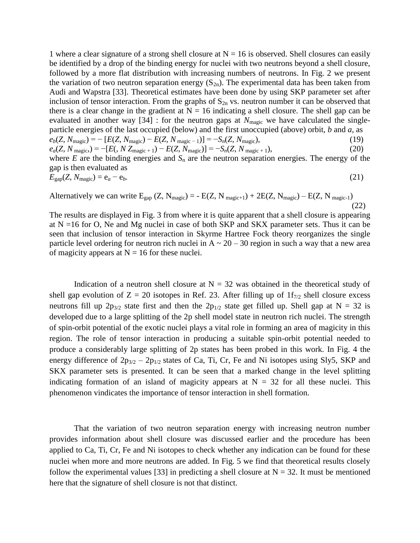1 where a clear signature of a strong shell closure at  $N = 16$  is observed. Shell closures can easily be identified by a drop of the binding energy for nuclei with two neutrons beyond a shell closure, followed by a more flat distribution with increasing numbers of neutrons. In Fig. 2 we present the variation of two neutron separation energy  $(S_{2n})$ . The experimental data has been taken from Audi and Wapstra [33]. Theoretical estimates have been done by using SKP parameter set after inclusion of tensor interaction. From the graphs of  $S_{2n}$  vs. neutron number it can be observed that there is a clear change in the gradient at  $N = 16$  indicating a shell closure. The shell gap can be evaluated in another way [34] : for the neutron gaps at  $N_{\text{magic}}$  we have calculated the singleparticle energies of the last occupied (below) and the first unoccupied (above) orbit, *b* and *a*, as  $e_b(Z, N_{\text{magic}}) = -[E(Z, N_{\text{magic}}) - E(Z, N_{\text{magic}} - 1)] = -S_n(Z, N_{\text{magic}})$ , (19)  $e_a(Z, N_{\text{magic}}) = -[E((N Z_{\text{magic}} + 1) - E(Z, N_{\text{magic}})] = -S_n(Z, N_{\text{magic}} + 1)$ , (20) where  $E$  are the binding energies and  $S<sub>n</sub>$  are the neutron separation energies. The energy of the gap is then evaluated as

$$
E_{\rm gap}(Z, N_{\rm magic}) = e_a - e_b. \tag{21}
$$

Alternatively we can write  $E_{\text{gap}}(Z, N_{\text{magic}}) = -E(Z, N_{\text{magic}+1}) + 2E(Z, N_{\text{magic}}) - E(Z, N_{\text{magic}-1})$ (22)

The results are displayed in Fig. 3 from where it is quite apparent that a shell closure is appearing at N =16 for O, Ne and Mg nuclei in case of both SKP and SKX parameter sets. Thus it can be seen that inclusion of tensor interaction in Skyrme Hartree Fock theory reorganizes the single particle level ordering for neutron rich nuclei in  $A \sim 20 - 30$  region in such a way that a new area of magicity appears at  $N = 16$  for these nuclei.

Indication of a neutron shell closure at  $N = 32$  was obtained in the theoretical study of shell gap evolution of  $Z = 20$  isotopes in Ref. 23. After filling up of  $1f_{7/2}$  shell closure excess neutrons fill up  $2p_{3/2}$  state first and then the  $2p_{1/2}$  state get filled up. Shell gap at N = 32 is developed due to a large splitting of the 2p shell model state in neutron rich nuclei. The strength of spin-orbit potential of the exotic nuclei plays a vital role in forming an area of magicity in this region. The role of tensor interaction in producing a suitable spin-orbit potential needed to produce a considerably large splitting of 2p states has been probed in this work. In Fig. 4 the energy difference of  $2p_{3/2} - 2p_{1/2}$  states of Ca, Ti, Cr, Fe and Ni isotopes using Sly5, SKP and SKX parameter sets is presented. It can be seen that a marked change in the level splitting indicating formation of an island of magicity appears at  $N = 32$  for all these nuclei. This phenomenon vindicates the importance of tensor interaction in shell formation.

That the variation of two neutron separation energy with increasing neutron number provides information about shell closure was discussed earlier and the procedure has been applied to Ca, Ti, Cr, Fe and Ni isotopes to check whether any indication can be found for these nuclei when more and more neutrons are added. In Fig. 5 we find that theoretical results closely follow the experimental values [33] in predicting a shell closure at  $N = 32$ . It must be mentioned here that the signature of shell closure is not that distinct.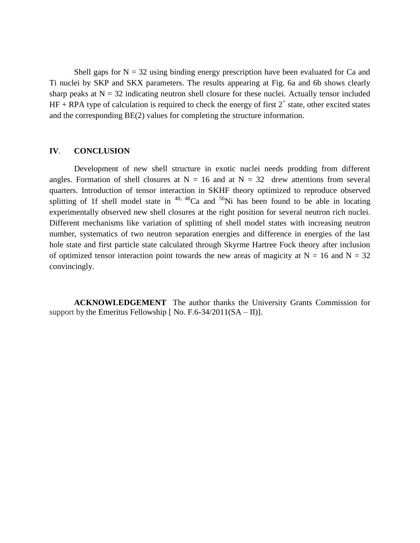Shell gaps for  $N = 32$  using binding energy prescription have been evaluated for Ca and Ti nuclei by SKP and SKX parameters. The results appearing at Fig. 6a and 6b shows clearly sharp peaks at  $N = 32$  indicating neutron shell closure for these nuclei. Actually tensor included  $HF + RPA$  type of calculation is required to check the energy of first  $2^+$  state, other excited states and the corresponding BE(2) values for completing the structure information.

# **IV**. **CONCLUSION**

Development of new shell structure in exotic nuclei needs prodding from different angles. Formation of shell closures at  $N = 16$  and at  $N = 32$  drew attentions from several quarters. Introduction of tensor interaction in SKHF theory optimized to reproduce observed splitting of 1f shell model state in  $40$ ,  $48$ Ca and  $56$ Ni has been found to be able in locating experimentally observed new shell closures at the right position for several neutron rich nuclei. Different mechanisms like variation of splitting of shell model states with increasing neutron number, systematics of two neutron separation energies and difference in energies of the last hole state and first particle state calculated through Skyrme Hartree Fock theory after inclusion of optimized tensor interaction point towards the new areas of magicity at  $N = 16$  and  $N = 32$ convincingly.

**ACKNOWLEDGEMENT** The author thanks the University Grants Commission for support by the Emeritus Fellowship  $[$  No. F.6-34/2011(SA – II)].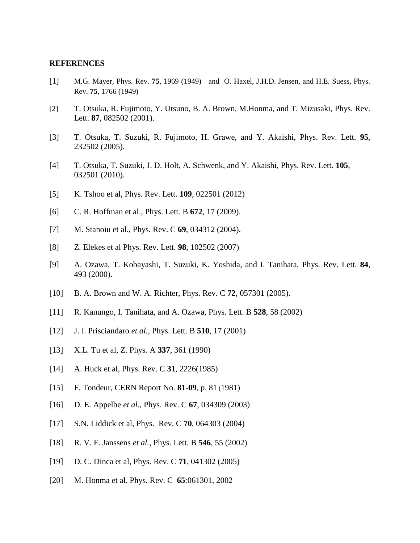#### **REFERENCES**

- [1] M.G. Mayer, Phys. Rev. **75**, 1969 (1949) and O. Haxel, J.H.D. Jensen, and H.E. Suess, Phys. Rev. **75**, 1766 (1949)
- [2] T. Otsuka, R. Fujimoto, Y. Utsuno, B. A. Brown, M.Honma, and T. Mizusaki, Phys. Rev. Lett. **87**, 082502 (2001).
- [3] T. Otsuka, T. Suzuki, R. Fujimoto, H. Grawe, and Y. Akaishi, Phys. Rev. Lett. **95**, 232502 (2005).
- [4] T. Otsuka, T. Suzuki, J. D. Holt, A. Schwenk, and Y. Akaishi, Phys. Rev. Lett. **105**, 032501 (2010).
- [5] K. Tshoo et al, Phys. Rev. Lett. **109**, 022501 (2012)
- [6] C. R. Hoffman et al., Phys. Lett. B **672**, 17 (2009).
- [7] M. Stanoiu et al., Phys. Rev. C **69**, 034312 (2004).
- [8] Z. Elekes et al Phys. Rev. Lett. **98**, 102502 (2007)
- [9] A. Ozawa, T. Kobayashi, T. Suzuki, K. Yoshida, and I. Tanihata, Phys. Rev. Lett. **84**, 493 (2000).
- [10] B. A. Brown and W. A. Richter, Phys. Rev. C **72**, 057301 (2005).
- [11] R. Kanungo, I. Tanihata, and A. Ozawa, Phys. Lett. B **528**, 58 (2002)
- [12] J. I. Prisciandaro *et al.*, Phys. Lett. B **510**, 17 (2001)
- [13] X.L. Tu et al, Z. Phys. A **337**, 361 (1990)
- [14] A. Huck et al, Phys. Rev. C **31**, 2226(1985)
- [15] F. Tondeur, CERN Report No. **81-09**, p. 81 (1981)
- [16] D. E. Appelbe *et al.*, Phys. Rev. C **67**, 034309 (2003)
- [17] S.N. Liddick et al, Phys. Rev. C **70**, 064303 (2004)
- [18] R. V. F. Janssens *et al.*, Phys. Lett. B **546**, 55 (2002)
- [19] D. C. Dinca et al, Phys. Rev. C **71**, 041302 (2005)
- [20] M. Honma et al. Phys. Rev. C **65**:061301, 2002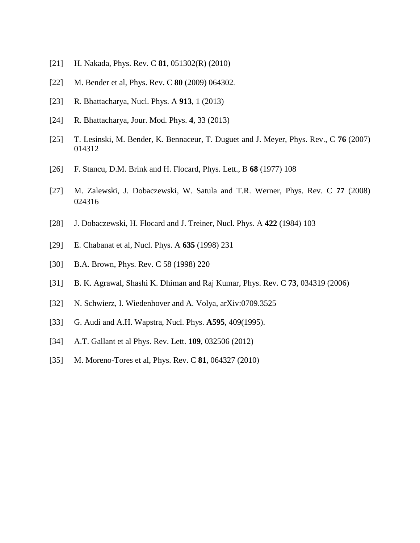- [21] H. Nakada, Phys. Rev. C **81**, 051302(R) (2010)
- [22] M. Bender et al, Phys. Rev. C **80** (2009) 064302.
- [23] R. Bhattacharya, Nucl. Phys. A **913**, 1 (2013)
- [24] R. Bhattacharya, Jour. Mod. Phys. **4**, 33 (2013)
- [25] T. Lesinski, M. Bender, K. Bennaceur, T. Duguet and J. Meyer, Phys. Rev., C **76** (2007) 014312
- [26] F. Stancu, D.M. Brink and H. Flocard, Phys. Lett., B **68** (1977) 108
- [27] M. Zalewski, J. Dobaczewski, W. Satula and T.R. Werner, Phys. Rev. C **77** (2008) 024316
- [28] J. Dobaczewski, H. Flocard and J. Treiner, Nucl. Phys. A **422** (1984) 103
- [29] E. Chabanat et al, Nucl. Phys. A **635** (1998) 231
- [30] B.A. Brown, Phys. Rev. C 58 (1998) 220
- [31] B. K. Agrawal, Shashi K. Dhiman and Raj Kumar, Phys. Rev. C **73**, 034319 (2006)
- [32] N. Schwierz, I. Wiedenhover and A. Volya, arXiv:0709.3525
- [33] G. Audi and A.H. Wapstra, Nucl. Phys. **A595**, 409(1995).
- [34] A.T. Gallant et al Phys. Rev. Lett. **109**, 032506 (2012)
- [35] M. Moreno-Tores et al, Phys. Rev. C **81**, 064327 (2010)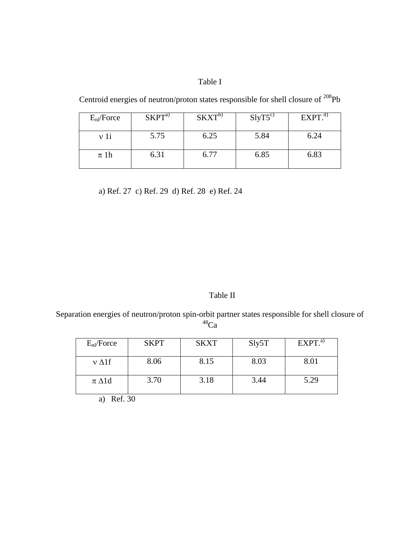# Table I

Centroid energies of neutron/proton states responsible for shell closure of <sup>208</sup>Pb

| $E_{nl}/Force$ | SKPT <sup>a</sup> | SKXT <sup>b</sup> | $SlyT5^{c}$ | EXPT. <sup>d</sup> |
|----------------|-------------------|-------------------|-------------|--------------------|
| v 1i           | 5.75              | 6.25              | 5.84        | 6.24               |
| $\pi$ 1h       | 6.31              | 6.77              | 6.85        | 6.83               |

a) Ref. 27 c) Ref. 29 d) Ref. 28 e) Ref. 24

# Table II

Separation energies of neutron/proton spin-orbit partner states responsible for shell closure of  $48\overline{\text{Ca}}$ 

| $E_{nl}/Force$  | <b>SKPT</b> | <b>SKXT</b> | Sly5T | EXPT. <sup>a</sup> |
|-----------------|-------------|-------------|-------|--------------------|
| $v \Delta 1f$   | 8.06        | 8.15        | 8.03  | 8.01               |
| $\pi \Delta 1d$ | 3.70        | 3.18        | 3.44  | 5.29               |

a) Ref. 30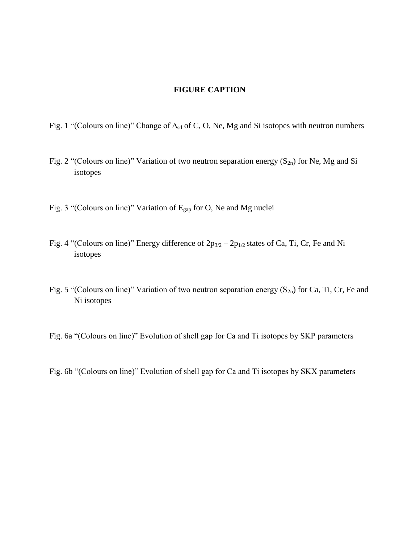## **FIGURE CAPTION**

- Fig. 1 "(Colours on line)" Change of  $\Delta_{sd}$  of C, O, Ne, Mg and Si isotopes with neutron numbers
- Fig. 2 "(Colours on line)" Variation of two neutron separation energy  $(S_{2n})$  for Ne, Mg and Si isotopes
- Fig. 3 "(Colours on line)" Variation of Egap for O, Ne and Mg nuclei
- Fig. 4 "(Colours on line)" Energy difference of  $2p_{3/2} 2p_{1/2}$  states of Ca, Ti, Cr, Fe and Ni isotopes
- Fig. 5 "(Colours on line)" Variation of two neutron separation energy  $(S_{2n})$  for Ca, Ti, Cr, Fe and Ni isotopes

Fig. 6a "(Colours on line)" Evolution of shell gap for Ca and Ti isotopes by SKP parameters

Fig. 6b "(Colours on line)" Evolution of shell gap for Ca and Ti isotopes by SKX parameters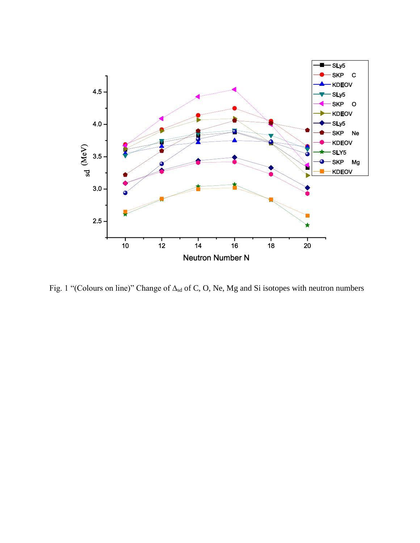

Fig. 1 "(Colours on line)" Change of  $\Delta_{sd}$  of C, O, Ne, Mg and Si isotopes with neutron numbers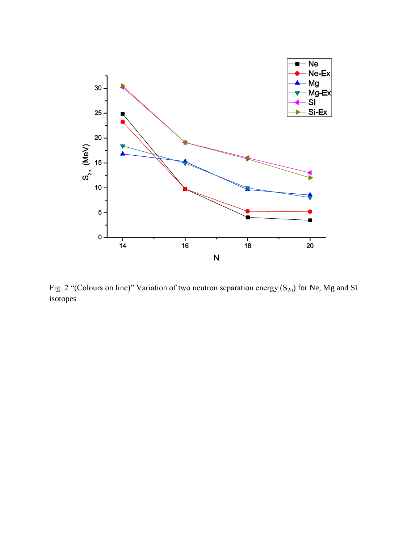

Fig. 2 "(Colours on line)" Variation of two neutron separation energy  $(S_{2n})$  for Ne, Mg and Si isotopes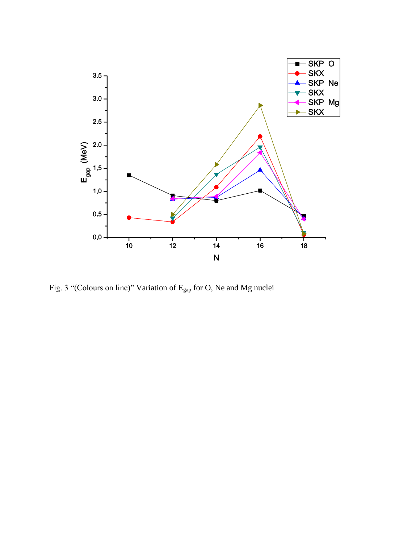

Fig. 3 "(Colours on line)" Variation of Egap for O, Ne and Mg nuclei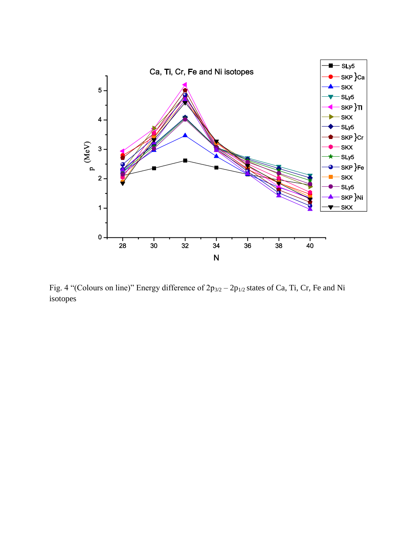

Fig. 4 "(Colours on line)" Energy difference of  $2p_{3/2} - 2p_{1/2}$  states of Ca, Ti, Cr, Fe and Ni isotopes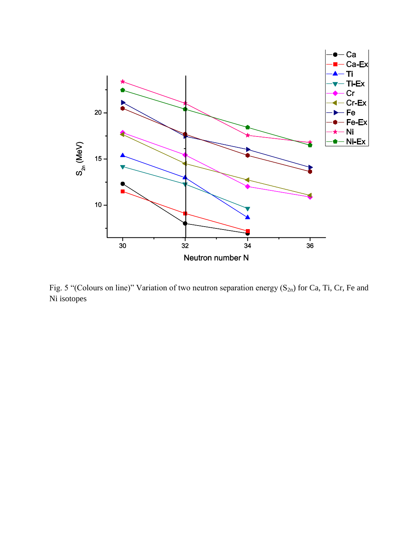

Fig. 5 "(Colours on line)" Variation of two neutron separation energy  $(S_{2n})$  for Ca, Ti, Cr, Fe and Ni isotopes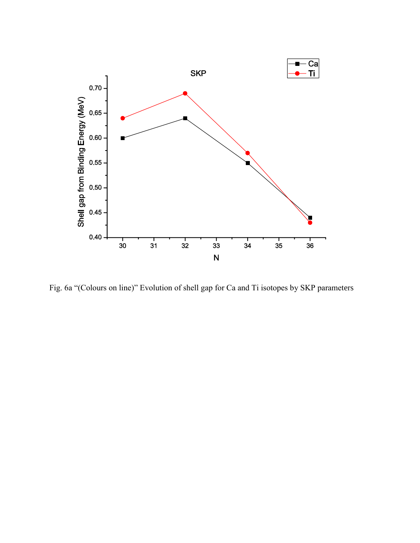

Fig. 6a "(Colours on line)" Evolution of shell gap for Ca and Ti isotopes by SKP parameters